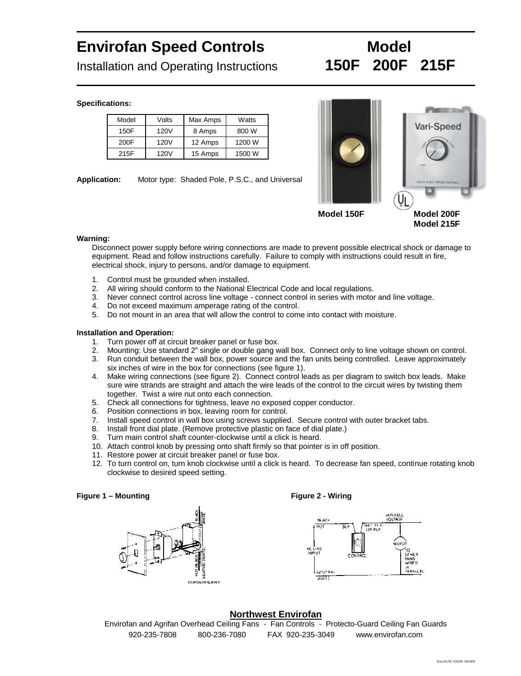## Envirofan Speed Controls **Model** Installation and Operating Instructions 150F 200F 215F

Specifications:

| Model | Volts | Max Amps | Watts  |
|-------|-------|----------|--------|
| 150F  | 120V  | 8 Amps   | 800 W  |
| 200F  | 120V  | 12 Amps  | 1200 W |
| 215F  | 120V  | 15 Amps  | 1500 W |

Application: Motor type: Shaded Pole, P.S.C., and Universal

Model 150F Model 200F

Model 215F

Warning:

Disconnect power supply before wiring connections are made to prevent possible electrical shock or damage to equipment. Read and follow instructions carefully. Failure to comply with instructions could result in fire, electrical shock, injury to persons, and/or damage to equipment.

- 1. Control must be grounded when installed.<br>2. All wiring should conform to the National E<br>3. Never connect control across line voltage
- 2. All wiring should conform to the National Electrical Code and local regulations.
- 3. Never connect control across line voltage connect control in series with motor and line voltage.
- 4. Do not exceed maximum amperage rating of the control.
- 5. Do not mount in an area that will allow the control to come into contact with moisture.

Installation and Operation:

- 1. Turn power off at circuit breaker panel or fuse box.
- 2. Mounting: Use standard 2€ single or double gang wall box. Connect only to line voltage shown on control.
- 3. Run conduit between the wall box, power source and the fan units being controlled. Leave approximately six inches of wire in the box for connections (see figure 1).
- 4. Make wiring connections (see figure 2). Connect control leads as per diagram to switch box leads. Make sure wire strands are straight and attach the wire leads of the control to the circuit wires by twisting them together. Twist a wire nut onto each connection.
- 5. Check all connections for tightness, leave no exposed copper conductor.
- 6. Position connections in box, leaving room for control.
- 7. Install speed control in wall box using screws supplied. Secure control with outer bracket tabs.
- 8. Install front dial plate. (Remove protective plastic on face of dial plate.)
- 9. Turn main control shaft counter-clockwise until a click is heard.
- 10. Attach control knob by pressing onto shaft firmly so that pointer is in off position.
- 11. Restore power at circuit breaker panel or fuse box.
- 12. To turn control on, turn knob clockwise until a click is heard. To decrease fan speed, continue rotating knob clockwise to desired speed setting.

Figure 1 € Mounting Figure 2 - Wiring

Northwest Envirofan